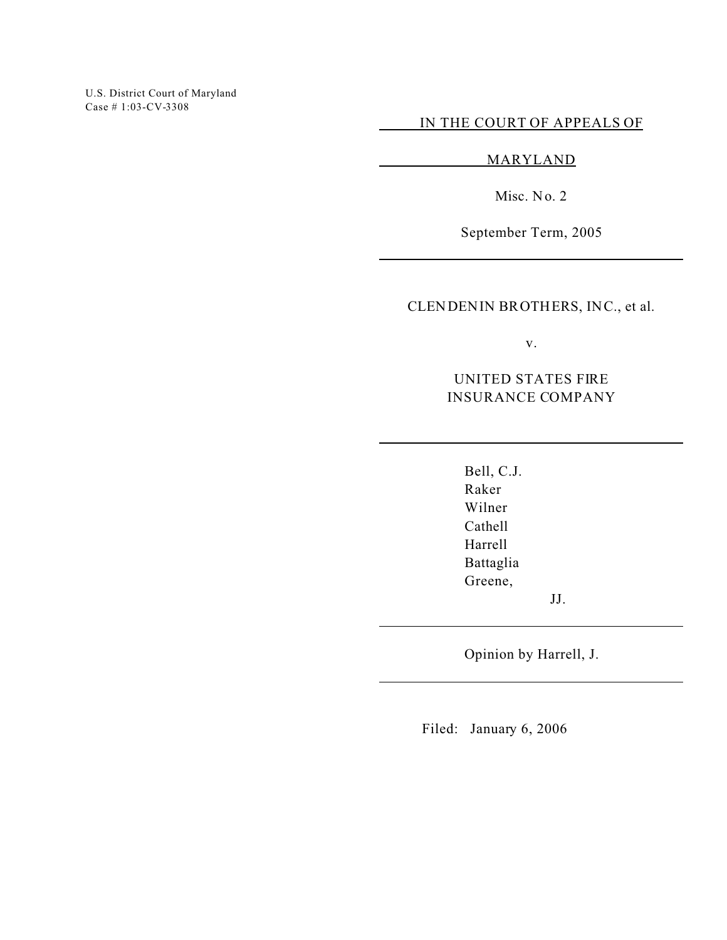U.S. District Court of Maryland Case # 1:03-CV-3308

IN THE COURT OF APPEALS OF

## MARYLAND

Misc. No. 2

September Term, 2005

CLENDENIN BROTHERS, INC., et al.

v.

UNITED STATES FIRE INSURANCE COMPANY

Bell, C.J. Raker Wilner Cathell Harrell Battaglia Greene,

JJ.

Opinion by Harrell, J.

Filed: January 6, 2006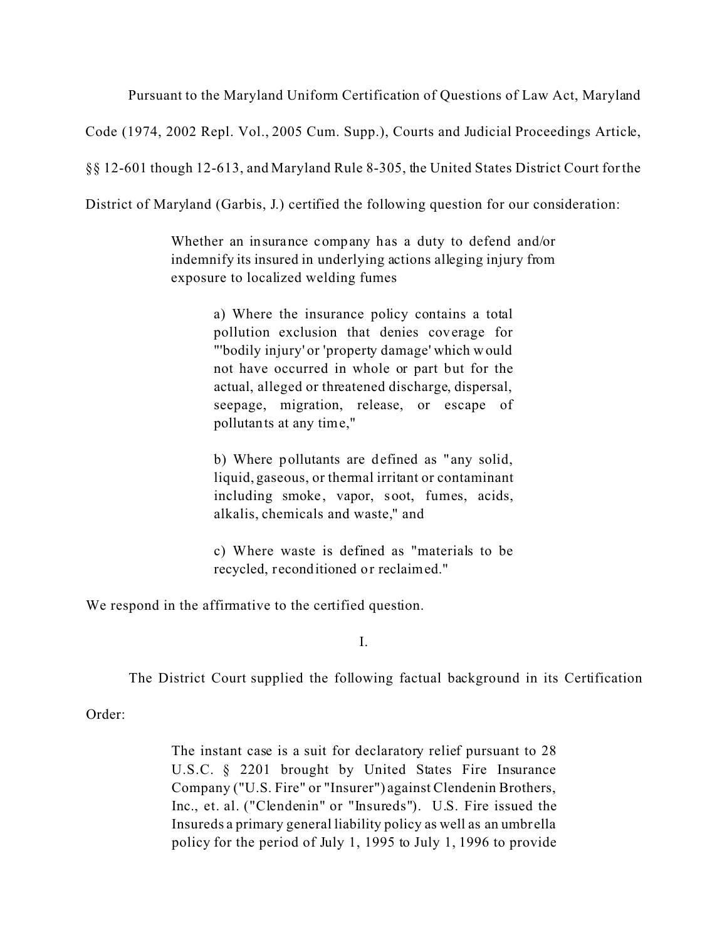Pursuant to the Maryland Uniform Certification of Questions of Law Act, Maryland

Code (1974, 2002 Repl. Vol., 2005 Cum. Supp.), Courts and Judicial Proceedings Article,

§§ 12-601 though 12-613, and Maryland Rule 8-305, the United States District Court for the

District of Maryland (Garbis, J.) certified the following question for our consideration:

Whether an insurance company has a duty to defend and/or indemnify its insured in underlying actions alleging injury from exposure to localized welding fumes

> a) Where the insurance policy contains a total pollution exclusion that denies coverage for "'bodily injury' or 'property damage' which would not have occurred in whole or part but for the actual, alleged or threatened discharge, dispersal, seepage, migration, release, or escape of pollutants at any time,"

> b) Where pollutants are defined as "any solid, liquid, gaseous, or thermal irritant or contaminant including smoke, vapor, soot, fumes, acids, alkalis, chemicals and waste," and

> c) Where waste is defined as "materials to be recycled, reconditioned or reclaimed."

We respond in the affirmative to the certified question.

I.

The District Court supplied the following factual background in its Certification

Order:

The instant case is a suit for declaratory relief pursuant to 28 U.S.C. § 2201 brought by United States Fire Insurance Company ("U.S. Fire" or "Insurer") against Clendenin Brothers, Inc., et. al. ("Clendenin" or "Insureds"). U.S. Fire issued the Insureds a primary general liability policy as well as an umbrella policy for the period of July 1, 1995 to July 1, 1996 to provide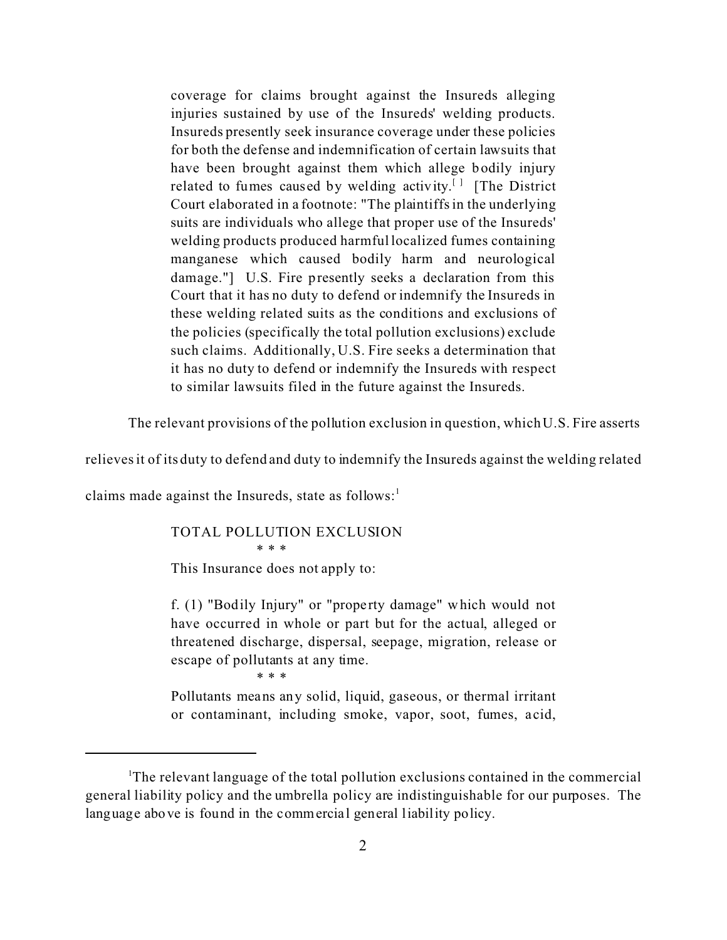coverage for claims brought against the Insureds alleging injuries sustained by use of the Insureds' welding products. Insureds presently seek insurance coverage under these policies for both the defense and indemnification of certain lawsuits that have been brought against them which allege bodily injury related to fumes caused by welding activity.<sup>[]</sup> [The District Court elaborated in a footnote: "The plaintiffs in the underlying suits are individuals who allege that proper use of the Insureds' welding products produced harmful localized fumes containing manganese which caused bodily harm and neurological damage."] U.S. Fire presently seeks a declaration from this Court that it has no duty to defend or indemnify the Insureds in these welding related suits as the conditions and exclusions of the policies (specifically the total pollution exclusions) exclude such claims. Additionally, U.S. Fire seeks a determination that it has no duty to defend or indemnify the Insureds with respect to similar lawsuits filed in the future against the Insureds.

The relevant provisions of the pollution exclusion in question, which U.S. Fire asserts

relieves it of its duty to defend and duty to indemnify the Insureds against the welding related

claims made against the Insureds, state as follows: $<sup>1</sup>$ </sup>

TOTAL POLLUTION EXCLUSION

\* \* \*

This Insurance does not apply to:

f. (1) "Bodily Injury" or "property damage" which would not have occurred in whole or part but for the actual, alleged or threatened discharge, dispersal, seepage, migration, release or escape of pollutants at any time. \* \* \*

Pollutants means any solid, liquid, gaseous, or thermal irritant or contaminant, including smoke, vapor, soot, fumes, acid,

<sup>&</sup>lt;sup>1</sup>The relevant language of the total pollution exclusions contained in the commercial general liability policy and the umbrella policy are indistinguishable for our purposes. The language above is found in the commercial general liability policy.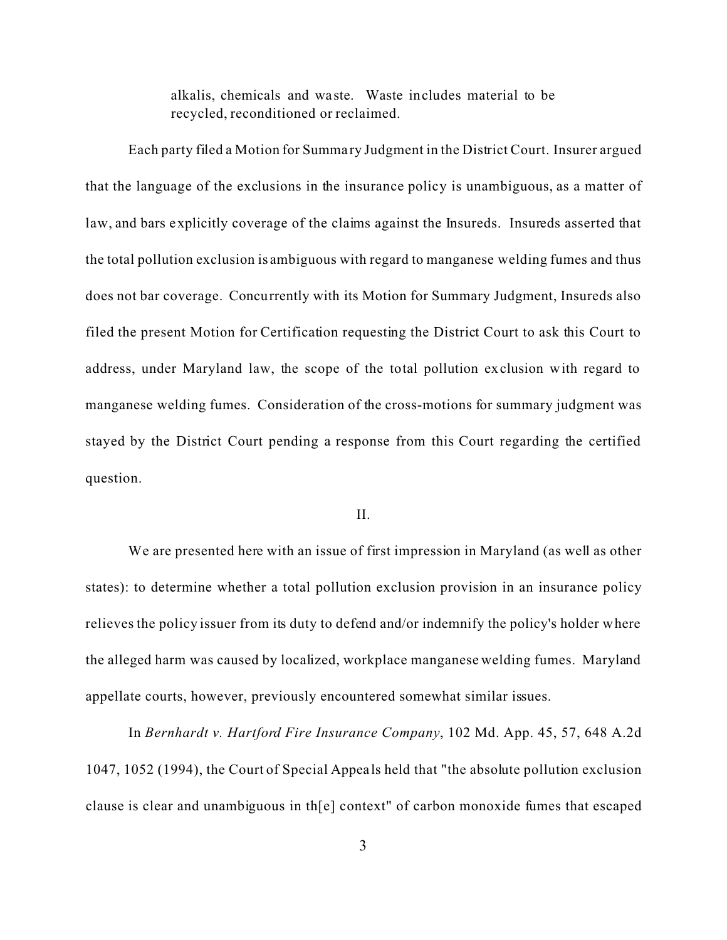alkalis, chemicals and waste. Waste includes material to be recycled, reconditioned or reclaimed.

Each party filed a Motion for Summa ry Judgment in the District Court. Insurer argued that the language of the exclusions in the insurance policy is unambiguous, as a matter of law, and bars explicitly coverage of the claims against the Insureds. Insureds asserted that the total pollution exclusion is ambiguous with regard to manganese welding fumes and thus does not bar coverage. Concurrently with its Motion for Summary Judgment, Insureds also filed the present Motion for Certification requesting the District Court to ask this Court to address, under Maryland law, the scope of the total pollution exclusion with regard to manganese welding fumes. Consideration of the cross-motions for summary judgment was stayed by the District Court pending a response from this Court regarding the certified question.

## II.

We are presented here with an issue of first impression in Maryland (as well as other states): to determine whether a total pollution exclusion provision in an insurance policy relieves the policy issuer from its duty to defend and/or indemnify the policy's holder where the alleged harm was caused by localized, workplace manganese welding fumes. Maryland appellate courts, however, previously encountered somewhat similar issues.

In *Bernhardt v. Hartford Fire Insurance Company*, 102 Md. App. 45, 57, 648 A.2d 1047, 1052 (1994), the Court of Special Appeals held that "the absolute pollution exclusion clause is clear and unambiguous in th[e] context" of carbon monoxide fumes that escaped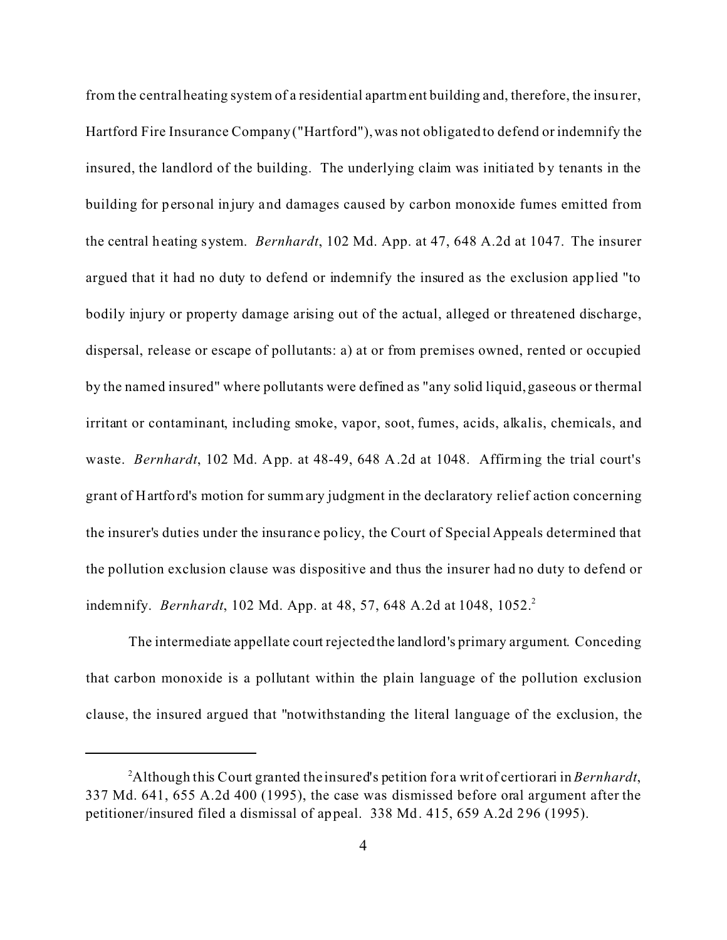from the central heating system of a residential apartment building and, therefore, the insurer, Hartford Fire Insurance Company ("Hartford"), was not obligated to defend or indemnify the insured, the landlord of the building. The underlying claim was initia ted by tenants in the building for personal injury and damages caused by carbon monoxide fumes emitted from the central heating system. *Bernhardt*, 102 Md. App. at 47, 648 A.2d at 1047. The insurer argued that it had no duty to defend or indemnify the insured as the exclusion applied "to bodily injury or property damage arising out of the actual, alleged or threatened discharge, dispersal, release or escape of pollutants: a) at or from premises owned, rented or occupied by the named insured" where pollutants were defined as "any solid liquid, gaseous or thermal irritant or contaminant, including smoke, vapor, soot, fumes, acids, alkalis, chemicals, and waste. *Bernhardt*, 102 Md. App. at 48-49, 648 A.2d at 1048. Affirming the trial court's grant of Hartford's motion for summary judgment in the declaratory relief action concerning the insurer's duties under the insurance policy, the Court of Special Appeals determined that the pollution exclusion clause was dispositive and thus the insurer had no duty to defend or indemnify. *Bernhardt*, 102 Md. App. at 48, 57, 648 A.2d at 1048, 1052.<sup>2</sup>

The intermediate appellate court rejected the landlord's primary argument. Conceding that carbon monoxide is a pollutant within the plain language of the pollution exclusion clause, the insured argued that "notwithstanding the literal language of the exclusion, the

<sup>2</sup>Although this Court granted the insured's petition for a writ of certiorari in *Bernhardt*, 337 Md. 641, 655 A.2d 400 (1995), the case was dismissed before oral argument after the petitioner/insured filed a dismissal of appeal. 338 Md. 415, 659 A.2d 296 (1995).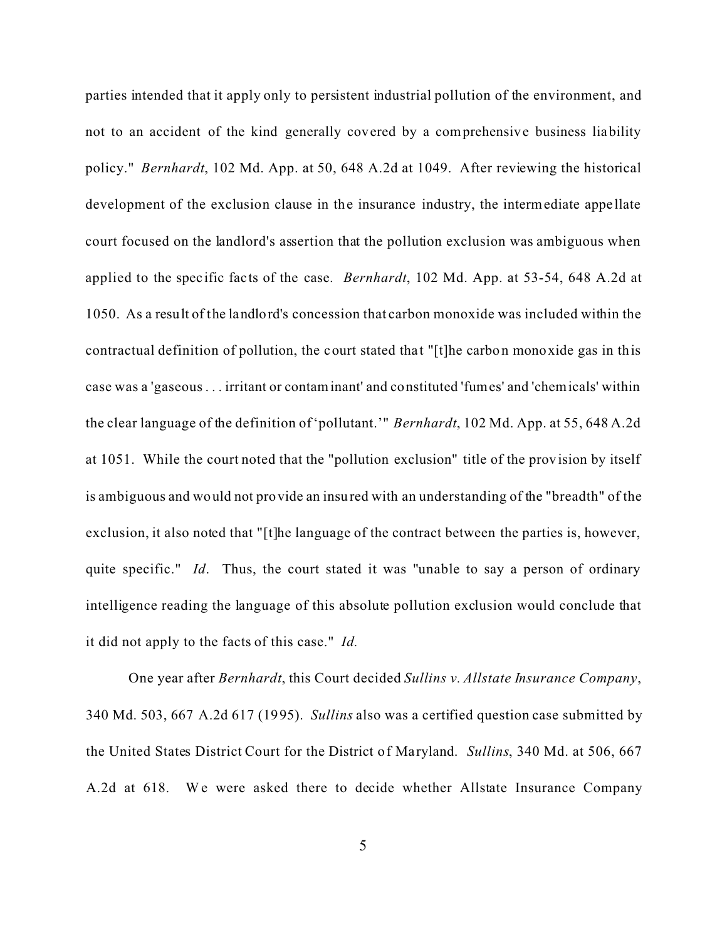parties intended that it apply only to persistent industrial pollution of the environment, and not to an accident of the kind generally covered by a comprehensive business liability policy." *Bernhardt*, 102 Md. App. at 50, 648 A.2d at 1049. After reviewing the historical development of the exclusion clause in the insurance industry, the intermediate appe llate court focused on the landlord's assertion that the pollution exclusion was ambiguous when applied to the spec ific facts of the case. *Bernhardt*, 102 Md. App. at 53-54, 648 A.2d at 1050. As a result of the landlord's concession that carbon monoxide was included within the contractual definition of pollution, the court stated that "[t]he carbon monoxide gas in this case was a 'gaseous . . . irritant or contaminant' and constituted 'fumes' and 'chemicals' within the clear language of the definition of 'pollutant.'" *Bernhardt*, 102 Md. App. at 55, 648 A.2d at 1051. While the court noted that the "pollution exclusion" title of the provision by itself is ambiguous and would not provide an insured with an understanding of the "breadth" of the exclusion, it also noted that "[t]he language of the contract between the parties is, however, quite specific." *Id*. Thus, the court stated it was "unable to say a person of ordinary intelligence reading the language of this absolute pollution exclusion would conclude that it did not apply to the facts of this case." *Id.*

One year after *Bernhardt*, this Court decided *Sullins v. Allstate Insurance Company*, 340 Md. 503, 667 A.2d 617 (1995). *Sullins* also was a certified question case submitted by the United States District Court for the District of Maryland. *Sullins*, 340 Md. at 506, 667 A.2d at 618. We were asked there to decide whether Allstate Insurance Company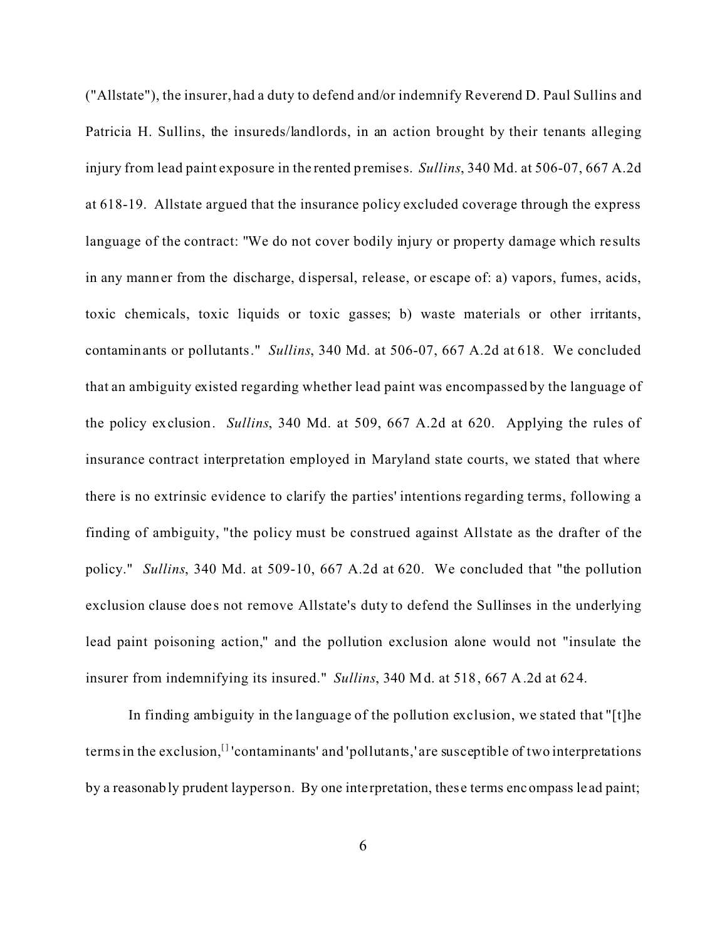("Allstate"), the insurer, had a duty to defend and/or indemnify Reverend D. Paul Sullins and Patricia H. Sullins, the insureds/landlords, in an action brought by their tenants alleging injury from lead paint exposure in the rented premises. *Sullins*, 340 Md. at 506-07, 667 A.2d at 618-19. Allstate argued that the insurance policy excluded coverage through the express language of the contract: "We do not cover bodily injury or property damage which results in any manner from the discharge, dispersal, release, or escape of: a) vapors, fumes, acids, toxic chemicals, toxic liquids or toxic gasses; b) waste materials or other irritants, contaminants or pollutants." *Sullins*, 340 Md. at 506-07, 667 A.2d at 618. We concluded that an ambiguity existed regarding whether lead paint was encompassed by the language of the policy exclusion. *Sullins*, 340 Md. at 509, 667 A.2d at 620. Applying the rules of insurance contract interpretation employed in Maryland state courts, we stated that where there is no extrinsic evidence to clarify the parties' intentions regarding terms, following a finding of ambiguity, "the policy must be construed against Allstate as the drafter of the policy." *Sullins*, 340 Md. at 509-10, 667 A.2d at 620. We concluded that "the pollution exclusion clause does not remove Allstate's duty to defend the Sullinses in the underlying lead paint poisoning action," and the pollution exclusion alone would not "insulate the insurer from indemnifying its insured." *Sullins*, 340 Md. at 518, 667 A.2d at 624.

In finding ambiguity in the language of the pollution exclusion, we stated that "[t]he terms in the exclusion,<sup>[]</sup> 'contaminants' and 'pollutants,' are susceptible of two interpretations by a reasonably prudent layperson. By one interpretation, these terms encompass le ad paint;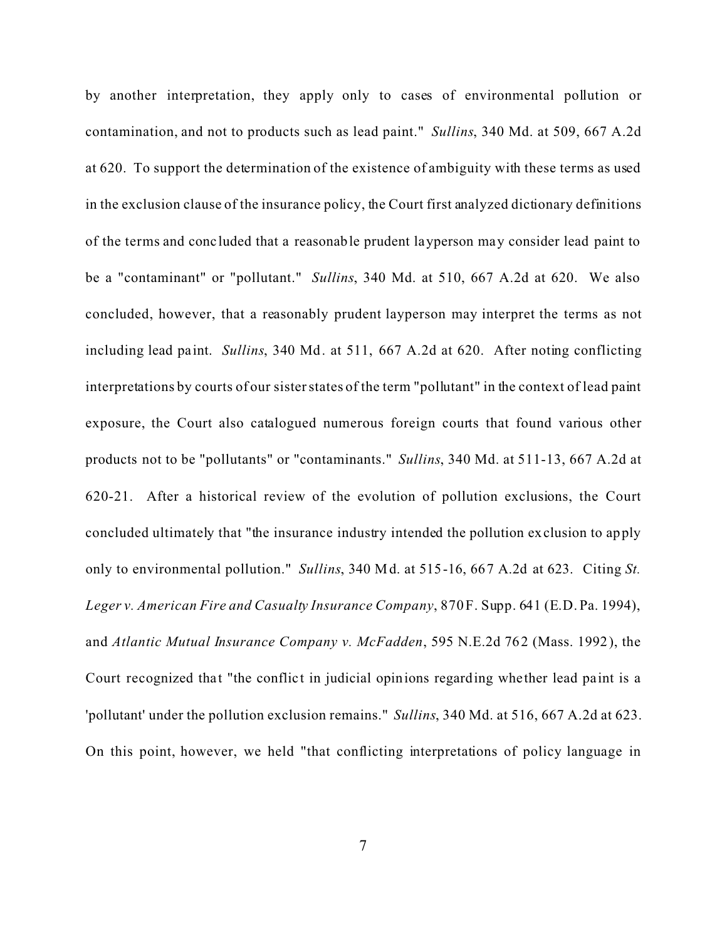by another interpretation, they apply only to cases of environmental pollution or contamination, and not to products such as lead paint." *Sullins*, 340 Md. at 509, 667 A.2d at 620. To support the determination of the existence of ambiguity with these terms as used in the exclusion clause of the insurance policy, the Court first analyzed dictionary definitions of the terms and conc luded that a reasonable prudent layperson may consider lead paint to be a "contaminant" or "pollutant." *Sullins*, 340 Md. at 510, 667 A.2d at 620. We also concluded, however, that a reasonably prudent layperson may interpret the terms as not including lead paint. *Sullins*, 340 Md. at 511, 667 A.2d at 620. After noting conflicting interpretations by courts of our sister states of the term "pollutant" in the context of lead paint exposure, the Court also catalogued numerous foreign courts that found various other products not to be "pollutants" or "contaminants." *Sullins*, 340 Md. at 511-13, 667 A.2d at 620-21. After a historical review of the evolution of pollution exclusions, the Court concluded ultimately that "the insurance industry intended the pollution exclusion to apply only to environmental pollution." *Sullins*, 340 Md. at 515-16, 667 A.2d at 623. Citing *St. Leger v. American Fire and Casualty Insurance Company*, 870 F. Supp. 641 (E.D. Pa. 1994), and *Atlantic Mutual Insurance Company v. McFadden*, 595 N.E.2d 762 (Mass. 1992), the Court recognized that "the conflict in judicial opinions regarding whether lead paint is a 'pollutant' under the pollution exclusion remains." *Sullins*, 340 Md. at 516, 667 A.2d at 623. On this point, however, we held "that conflicting interpretations of policy language in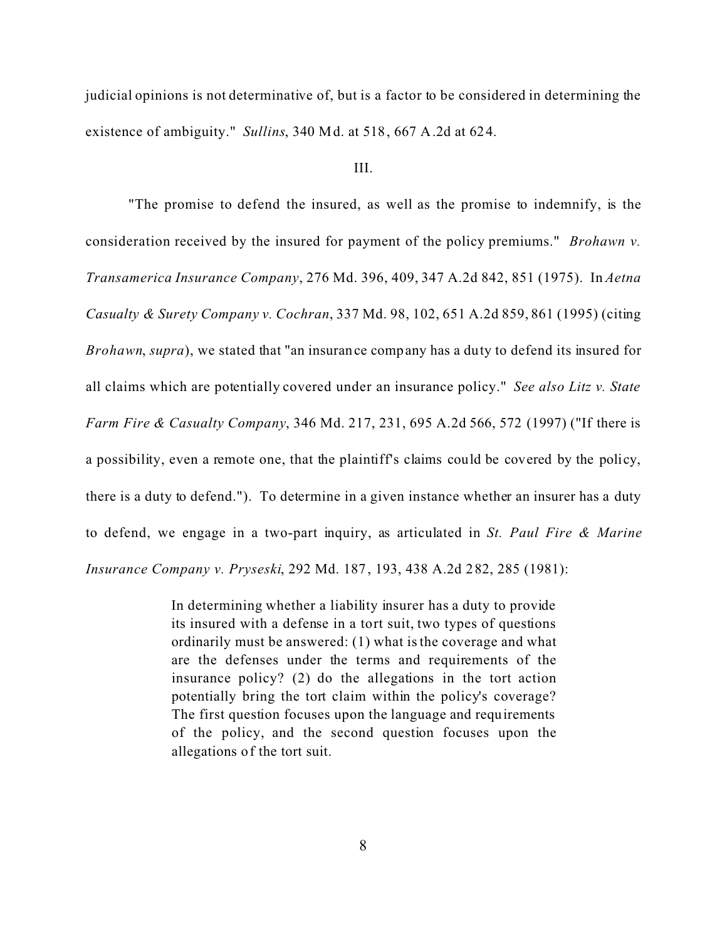judicial opinions is not determinative of, but is a factor to be considered in determining the existence of ambiguity." *Sullins*, 340 Md. at 518, 667 A.2d at 624.

III.

"The promise to defend the insured, as well as the promise to indemnify, is the consideration received by the insured for payment of the policy premiums." *Brohawn v. Transamerica Insurance Company*, 276 Md. 396, 409, 347 A.2d 842, 851 (1975). In *Aetna Casualty & Surety Company v. Cochran*, 337 Md. 98, 102, 651 A.2d 859, 861 (1995) (citing *Brohawn*, *supra*), we stated that "an insurance company has a duty to defend its insured for all claims which are potentially covered under an insurance policy." *See also Litz v. State Farm Fire & Casualty Company*, 346 Md. 217, 231, 695 A.2d 566, 572 (1997) ("If there is a possibility, even a remote one, that the plaintiff's claims could be covered by the policy, there is a duty to defend."). To determine in a given instance whether an insurer has a duty to defend, we engage in a two-part inquiry, as articulated in *St. Paul Fire & Marine Insurance Company v. Pryseski*, 292 Md. 187, 193, 438 A.2d 282, 285 (1981):

> In determining whether a liability insurer has a duty to provide its insured with a defense in a tort suit, two types of questions ordinarily must be answered: (1) what is the coverage and what are the defenses under the terms and requirements of the insurance policy? (2) do the allegations in the tort action potentially bring the tort claim within the policy's coverage? The first question focuses upon the language and requirements of the policy, and the second question focuses upon the allegations of the tort suit.

> > 8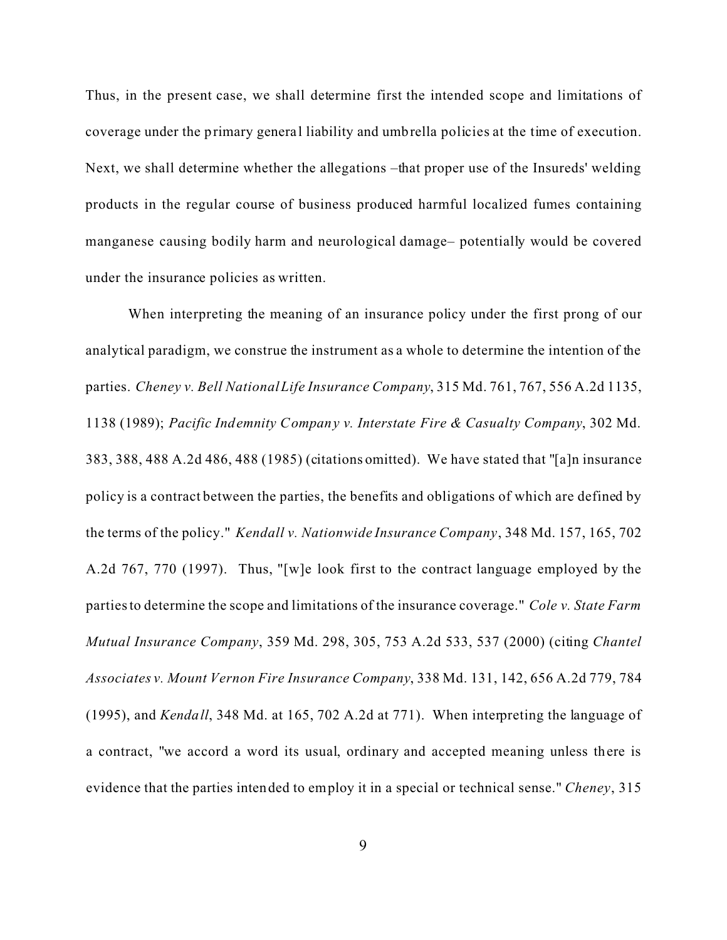Thus, in the present case, we shall determine first the intended scope and limitations of coverage under the primary general liability and umbrella policies at the time of execution. Next, we shall determine whether the allegations –that proper use of the Insureds' welding products in the regular course of business produced harmful localized fumes containing manganese causing bodily harm and neurological damage– potentially would be covered under the insurance policies as written.

When interpreting the meaning of an insurance policy under the first prong of our analytical paradigm, we construe the instrument as a whole to determine the intention of the parties. *Cheney v. Bell National Life Insurance Company*, 315 Md. 761, 767, 556 A.2d 1135, 1138 (1989); *Pacific Indemnity Company v. Interstate Fire & Casualty Company*, 302 Md. 383, 388, 488 A.2d 486, 488 (1985) (citations omitted). We have stated that "[a]n insurance policy is a contract between the parties, the benefits and obligations of which are defined by the terms of the policy." *Kendall v. Nationwide Insurance Company*, 348 Md. 157, 165, 702 A.2d 767, 770 (1997). Thus, "[w]e look first to the contract language employed by the parties to determine the scope and limitations of the insurance coverage." *Cole v. State Farm Mutual Insurance Company*, 359 Md. 298, 305, 753 A.2d 533, 537 (2000) (citing *Chantel Associates v. Mount Vernon Fire Insurance Company*, 338 Md. 131, 142, 656 A.2d 779, 784 (1995), and *Kendall*, 348 Md. at 165, 702 A.2d at 771). When interpreting the language of a contract, "we accord a word its usual, ordinary and accepted meaning unless there is evidence that the parties intended to employ it in a special or technical sense." *Cheney*, 315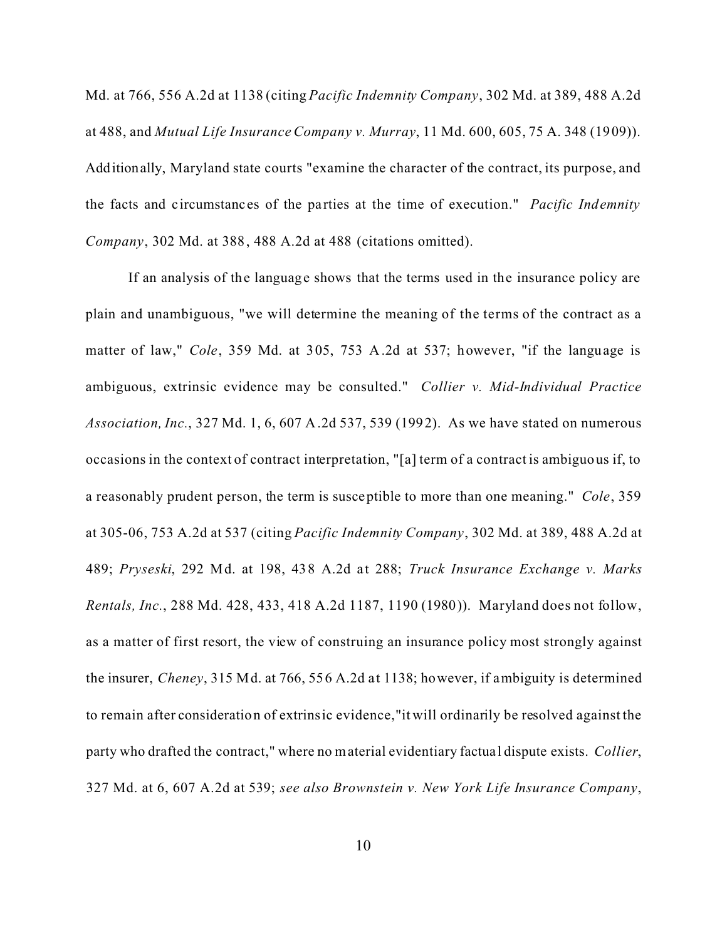Md. at 766, 556 A.2d at 1138 (citing *Pacific Indemnity Company*, 302 Md. at 389, 488 A.2d at 488, and *Mutual Life Insurance Company v. Murray*, 11 Md. 600, 605, 75 A. 348 (1909)). Additionally, Maryland state courts "examine the character of the contract, its purpose, and the facts and c ircumstanc es of the pa rties at the time of execution." *Pacific Indemnity Company*, 302 Md. at 388, 488 A.2d at 488 (citations omitted).

If an analysis of the language shows that the terms used in the insurance policy are plain and unambiguous, "we will determine the meaning of the terms of the contract as a matter of law," *Cole*, 359 Md. at 305, 753 A.2d at 537; however, "if the language is ambiguous, extrinsic evidence may be consulted." *Collier v. Mid-Individual Practice Association, Inc.*, 327 Md. 1, 6, 607 A.2d 537, 539 (1992). As we have stated on numerous occasions in the context of contract interpretation, "[a] term of a contract is ambiguous if, to a reasonably prudent person, the term is susceptible to more than one meaning." *Cole*, 359 at 305-06, 753 A.2d at 537 (citing *Pacific Indemnity Company*, 302 Md. at 389, 488 A.2d at 489; *Pryseski*, 292 Md. at 198, 438 A.2d at 288; *Truck Insurance Exchange v. Marks Rentals, Inc.*, 288 Md. 428, 433, 418 A.2d 1187, 1190 (1980)). Maryland does not follow, as a matter of first resort, the view of construing an insurance policy most strongly against the insurer, *Cheney*, 315 Md. at 766, 556 A.2d at 1138; however, if ambiguity is determined to remain after consideration of extrinsic evidence,"it will ordinarily be resolved against the party who drafted the contract," where no material evidentiary factual dispute exists. *Collier*, 327 Md. at 6, 607 A.2d at 539; *see also Brownstein v. New York Life Insurance Company*,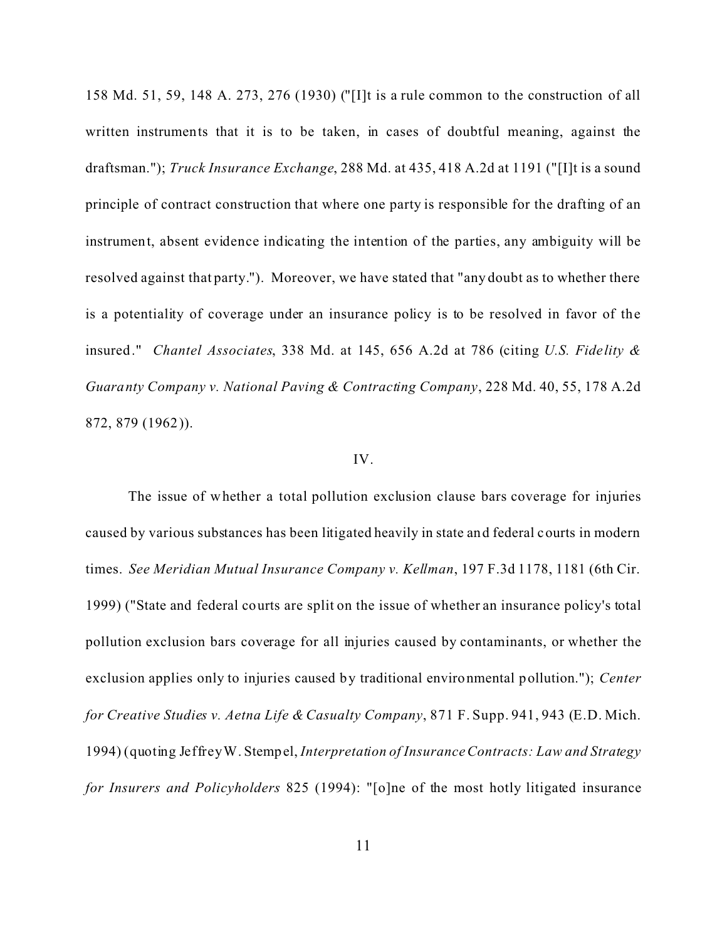158 Md. 51, 59, 148 A. 273, 276 (1930) ("[I]t is a rule common to the construction of all written instruments that it is to be taken, in cases of doubtful meaning, against the draftsman."); *Truck Insurance Exchange*, 288 Md. at 435, 418 A.2d at 1191 ("[I]t is a sound principle of contract construction that where one party is responsible for the drafting of an instrument, absent evidence indicating the intention of the parties, any ambiguity will be resolved against that party."). Moreover, we have stated that "any doubt as to whether there is a potentiality of coverage under an insurance policy is to be resolved in favor of the insured ." *Chantel Associates*, 338 Md. at 145, 656 A.2d at 786 (citing *U.S. Fidelity & Guaranty Company v. National Paving & Contracting Company*, 228 Md. 40, 55, 178 A.2d 872, 879 (1962)).

## IV.

The issue of whether a total pollution exclusion clause bars coverage for injuries caused by various substances has been litigated heavily in state and federal courts in modern times. *See Meridian Mutual Insurance Company v. Kellman*, 197 F.3d 1178, 1181 (6th Cir. 1999) ("State and federal courts are split on the issue of whether an insurance policy's total pollution exclusion bars coverage for all injuries caused by contaminants, or whether the exclusion applies only to injuries caused by traditional environmental pollution."); *Center for Creative Studies v. Aetna Life & Casualty Company*, 871 F. Supp. 941, 943 (E.D. Mich. 1994) (quoting Jeffrey W. Stempel, *Interpretation of Insurance Contracts: Law and Strategy for Insurers and Policyholders* 825 (1994): "[o]ne of the most hotly litigated insurance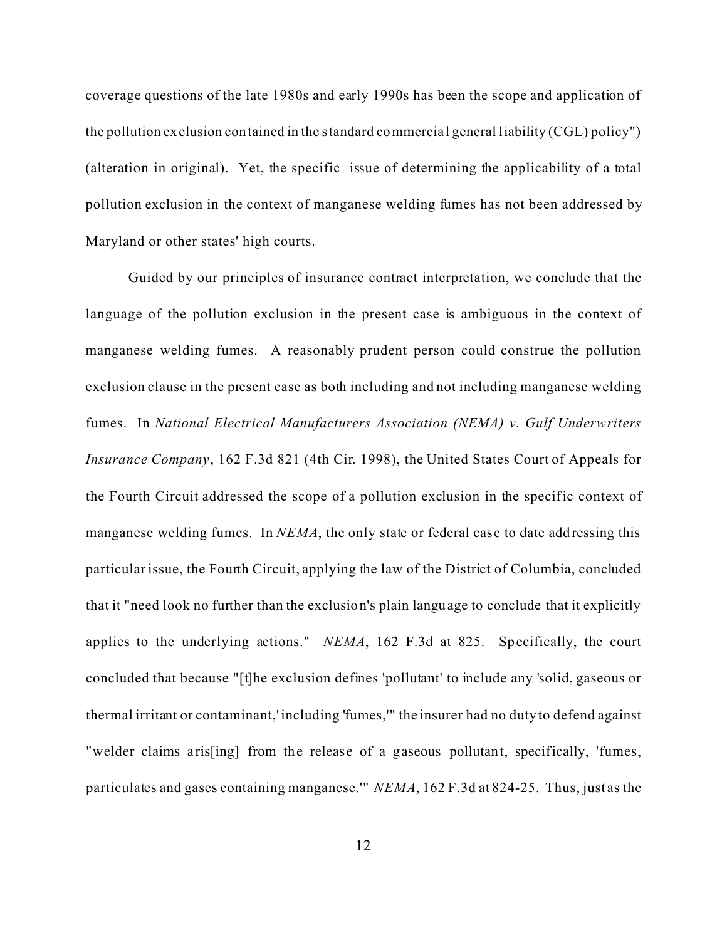coverage questions of the late 1980s and early 1990s has been the scope and application of the pollution exclusion contained in the standard commercial general liability (CGL) policy") (alteration in original). Yet, the specific issue of determining the applicability of a total pollution exclusion in the context of manganese welding fumes has not been addressed by Maryland or other states' high courts.

Guided by our principles of insurance contract interpretation, we conclude that the language of the pollution exclusion in the present case is ambiguous in the context of manganese welding fumes. A reasonably prudent person could construe the pollution exclusion clause in the present case as both including and not including manganese welding fumes. In *National Electrical Manufacturers Association (NEMA) v. Gulf Underwriters Insurance Company*, 162 F.3d 821 (4th Cir. 1998), the United States Court of Appeals for the Fourth Circuit addressed the scope of a pollution exclusion in the specific context of manganese welding fumes. In *NEMA*, the only state or federal case to date addressing this particular issue, the Fourth Circuit, applying the law of the District of Columbia, concluded that it "need look no further than the exclusion's plain language to conclude that it explicitly applies to the underlying actions." *NEMA*, 162 F.3d at 825. Specifically, the court concluded that because "[t]he exclusion defines 'pollutant' to include any 'solid, gaseous or thermal irritant or contaminant,' including 'fumes,'" the insurer had no duty to defend against "welder claims aris [ing] from the release of a gaseous pollutant, specifically, 'fumes, particulates and gases containing manganese.'" *NEMA*, 162 F.3d at 824-25. Thus, just as the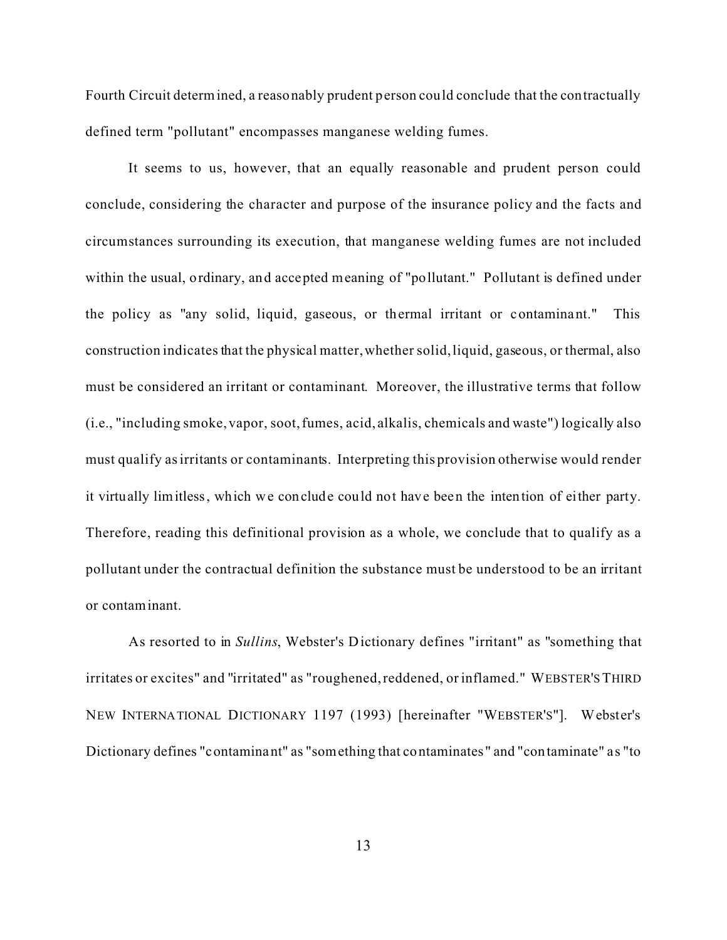Fourth Circuit determined, a reasonably prudent person could conclude that the contractually defined term "pollutant" encompasses manganese welding fumes.

It seems to us, however, that an equally reasonable and prudent person could conclude, considering the character and purpose of the insurance policy and the facts and circumstances surrounding its execution, that manganese welding fumes are not included within the usual, ordinary, and accepted meaning of "pollutant." Pollutant is defined under the policy as "any solid, liquid, gaseous, or thermal irritant or contaminant." This construction indicates that the physical matter, whether solid, liquid, gaseous, or thermal, also must be considered an irritant or contaminant. Moreover, the illustrative terms that follow (i.e., "including smoke, vapor, soot, fumes, acid, alkalis, chemicals and waste") logically also must qualify as irritants or contaminants. Interpreting this provision otherwise would render it virtually limitless, which we conclude could not have been the intention of either party. Therefore, reading this definitional provision as a whole, we conclude that to qualify as a pollutant under the contractual definition the substance must be understood to be an irritant or contaminant.

As resorted to in *Sullins*, Webster's Dictionary defines "irritant" as "something that irritates or excites" and "irritated" as "roughened, reddened, or inflamed." WEBSTER'S THIRD NEW INTERNATIONAL DICTIONARY 1197 (1993) [hereinafter "WEBSTER'S"]. Webster's Dictionary defines "contaminant" as "something that contaminates " and "contaminate" as "to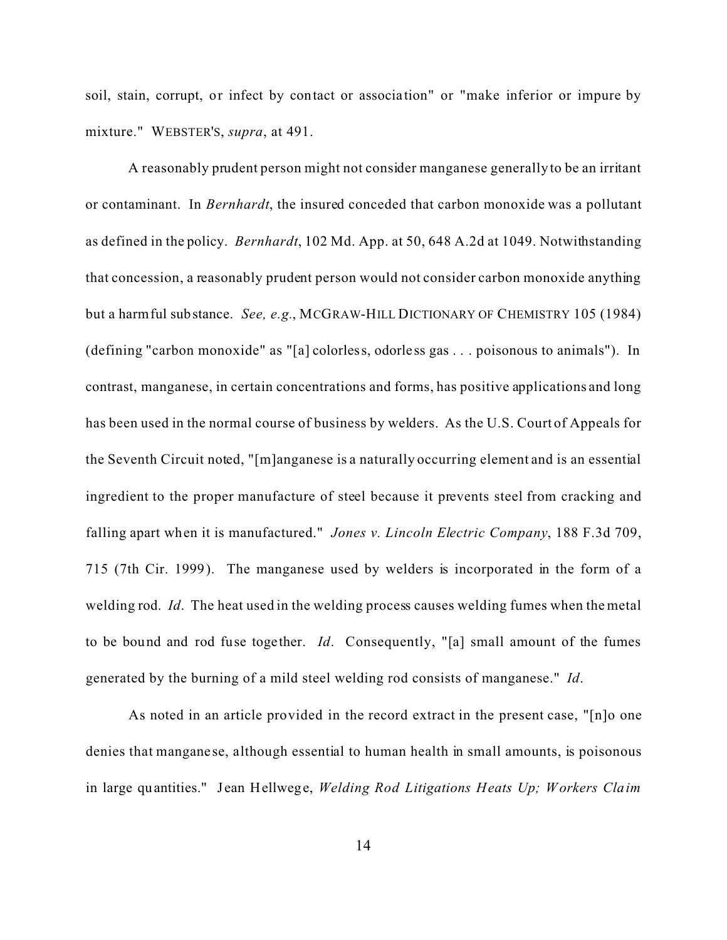soil, stain, corrupt, or infect by contact or associa tion" or "make inferior or impure by mixture." WEBSTER'S, *supra*, at 491.

A reasonably prudent person might not consider manganese generally to be an irritant or contaminant. In *Bernhardt*, the insured conceded that carbon monoxide was a pollutant as defined in the policy. *Bernhardt*, 102 Md. App. at 50, 648 A.2d at 1049. Notwithstanding that concession, a reasonably prudent person would not consider carbon monoxide anything but a harmful substance. *See, e.g.*, MCGRAW-HILL DICTIONARY OF CHEMISTRY 105 (1984) (defining "carbon monoxide" as "[a] colorless, odorle ss gas . . . poisonous to animals"). In contrast, manganese, in certain concentrations and forms, has positive applications and long has been used in the normal course of business by welders. As the U.S. Court of Appeals for the Seventh Circuit noted, "[m]anganese is a naturally occurring element and is an essential ingredient to the proper manufacture of steel because it prevents steel from cracking and falling apart when it is manufactured." *Jones v. Lincoln Electric Company*, 188 F.3d 709, 715 (7th Cir. 1999). The manganese used by welders is incorporated in the form of a welding rod. *Id*. The heat used in the welding process causes welding fumes when the metal to be bound and rod fuse together. *Id*. Consequently, "[a] small amount of the fumes generated by the burning of a mild steel welding rod consists of manganese." *Id*.

As noted in an article provided in the record extract in the present case, "[n]o one denies that mangane se, although essential to human health in small amounts, is poisonous in large quantities." Jean Hellwege, *Welding Rod Litigations Heats Up; Workers Claim*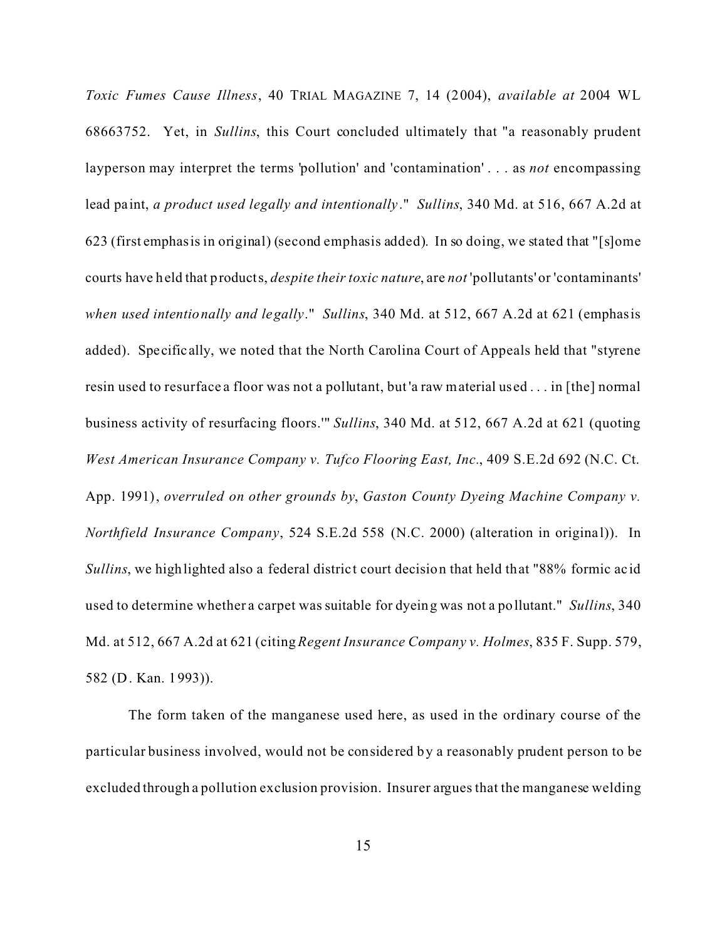*Toxic Fumes Cause Illness*, 40 TRIAL MAGAZINE 7, 14 (2004), *available at* 2004 WL 68663752. Yet, in *Sullins*, this Court concluded ultimately that "a reasonably prudent layperson may interpret the terms 'pollution' and 'contamination' . . . as *not* encompassing lead paint, *a product used legally and intentionally*." *Sullins*, 340 Md. at 516, 667 A.2d at 623 (first emphasis in original) (second emphasis added). In so doing, we stated that "[s]ome courts have held that products, *despite their toxic nature*, are *not* 'pollutants' or 'contaminants' *when used intentionally and legally*." *Sullins*, 340 Md. at 512, 667 A.2d at 621 (emphasis added). Specific ally, we noted that the North Carolina Court of Appeals held that "styrene resin used to resurface a floor was not a pollutant, but 'a raw material us ed . . . in [the] normal business activity of resurfacing floors.'" *Sullins*, 340 Md. at 512, 667 A.2d at 621 (quoting *West American Insurance Company v. Tufco Flooring East, Inc.*, 409 S.E.2d 692 (N.C. Ct. App. 1991), *overruled on other grounds by*, *Gaston County Dyeing Machine Company v. Northfield Insurance Company*, 524 S.E.2d 558 (N.C. 2000) (alteration in original)). In *Sullins*, we highlighted also a federal district court decision that held that "88% formic ac id used to determine whether a carpet was suitable for dyeing was not a pollutant." *Sullins*, 340 Md. at 512, 667 A.2d at 621 (citing *Regent Insurance Company v. Holmes*, 835 F. Supp. 579, 582 (D. Kan. 1993)).

The form taken of the manganese used here, as used in the ordinary course of the particular business involved, would not be considered by a reasonably prudent person to be excluded through a pollution exclusion provision. Insurer argues that the manganese welding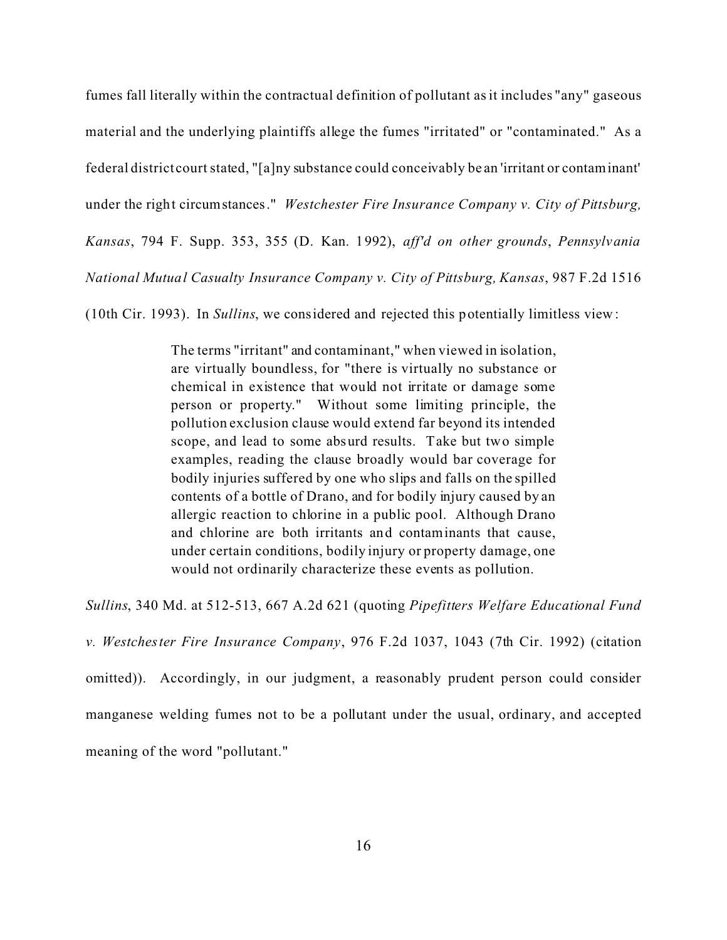fumes fall literally within the contractual definition of pollutant as it includes "any" gaseous material and the underlying plaintiffs allege the fumes "irritated" or "contaminated." As a federal district court stated, "[a]ny substance could conceivably be an 'irritant or contaminant' under the right circumstances." *Westchester Fire Insurance Company v. City of Pittsburg, Kansas*, 794 F. Supp. 353, 355 (D. Kan. 1992), *aff'd on other grounds*, *Pennsylvania National Mutual Casualty Insurance Company v. City of Pittsburg, Kansas*, 987 F.2d 1516

(10th Cir. 1993). In *Sullins*, we considered and rejected this potentially limitless view:

The terms "irritant" and contaminant," when viewed in isolation, are virtually boundless, for "there is virtually no substance or chemical in existence that would not irritate or damage some person or property." Without some limiting principle, the pollution exclusion clause would extend far beyond its intended scope, and lead to some absurd results. Take but two simple examples, reading the clause broadly would bar coverage for bodily injuries suffered by one who slips and falls on the spilled contents of a bottle of Drano, and for bodily injury caused by an allergic reaction to chlorine in a public pool. Although Drano and chlorine are both irritants and contaminants that cause, under certain conditions, bodily injury or property damage, one would not ordinarily characterize these events as pollution.

*Sullins*, 340 Md. at 512-513, 667 A.2d 621 (quoting *Pipefitters Welfare Educational Fund*

*v. Westchester Fire Insurance Company*, 976 F.2d 1037, 1043 (7th Cir. 1992) (citation omitted)). Accordingly, in our judgment, a reasonably prudent person could consider manganese welding fumes not to be a pollutant under the usual, ordinary, and accepted meaning of the word "pollutant."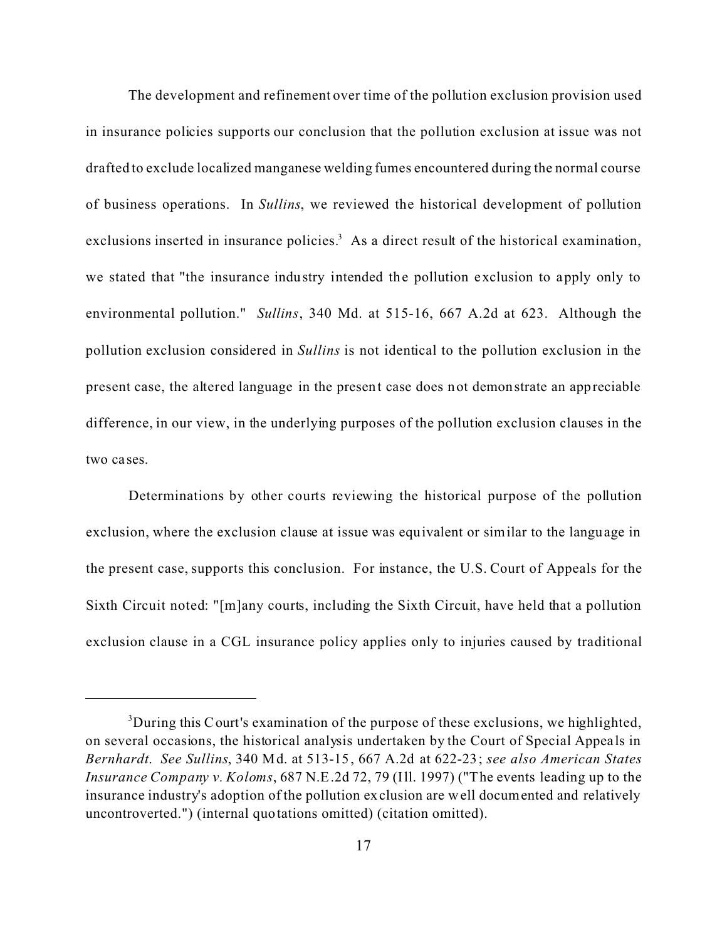The development and refinement over time of the pollution exclusion provision used in insurance policies supports our conclusion that the pollution exclusion at issue was not drafted to exclude localized manganese welding fumes encountered during the normal course of business operations. In *Sullins*, we reviewed the historical development of pollution exclusions inserted in insurance policies.<sup>3</sup> As a direct result of the historical examination, we stated that "the insurance industry intended the pollution exclusion to apply only to environmental pollution." *Sullins*, 340 Md. at 515-16, 667 A.2d at 623. Although the pollution exclusion considered in *Sullins* is not identical to the pollution exclusion in the present case, the altered language in the present case does not demonstrate an appreciable difference, in our view, in the underlying purposes of the pollution exclusion clauses in the two ca ses.

Determinations by other courts reviewing the historical purpose of the pollution exclusion, where the exclusion clause at issue was equivalent or similar to the language in the present case, supports this conclusion. For instance, the U.S. Court of Appeals for the Sixth Circuit noted: "[m]any courts, including the Sixth Circuit, have held that a pollution exclusion clause in a CGL insurance policy applies only to injuries caused by traditional

<sup>&</sup>lt;sup>3</sup>During this Court's examination of the purpose of these exclusions, we highlighted, on several occasions, the historical analysis undertaken by the Court of Special Appeals in *Bernhardt*. *See Sullins*, 340 Md. at 513-15, 667 A.2d at 622-23; *see also American States Insurance Company v. Koloms*, 687 N.E.2d 72, 79 (Ill. 1997) ("The events leading up to the insurance industry's adoption of the pollution exclusion are well documented and relatively uncontroverted.") (internal quotations omitted) (citation omitted).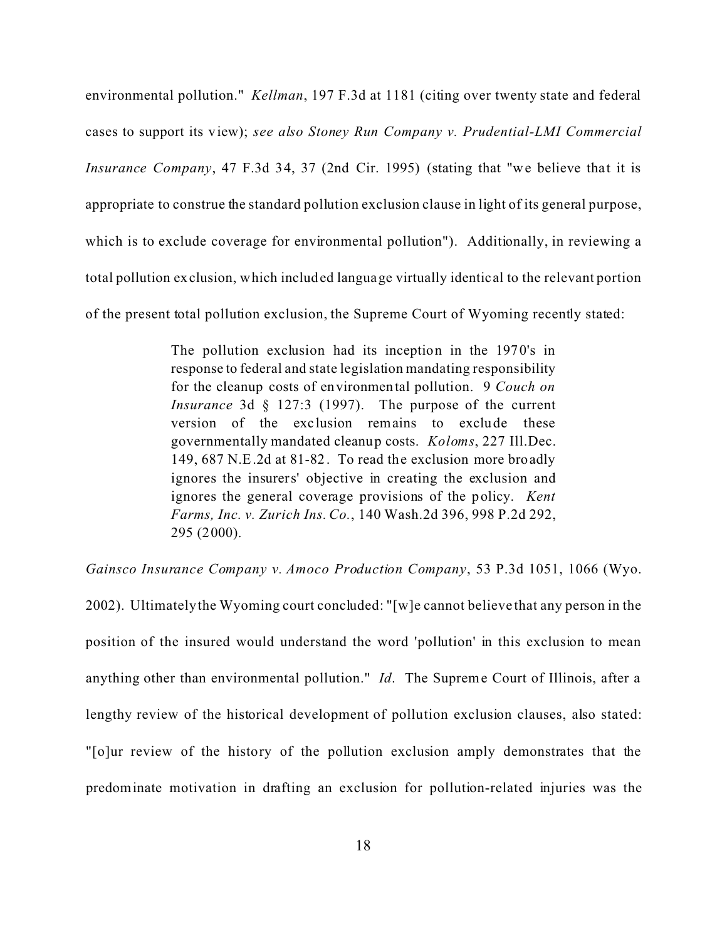environmental pollution." *Kellman*, 197 F.3d at 1181 (citing over twenty state and federal cases to support its view); *see also Stoney Run Company v. Prudential-LMI Commercial Insurance Company*, 47 F.3d 34, 37 (2nd Cir. 1995) (stating that "we believe that it is appropriate to construe the standard pollution exclusion clause in light of its general purpose, which is to exclude coverage for environmental pollution"). Additionally, in reviewing a total pollution exclusion, which included language virtually identical to the relevant portion of the present total pollution exclusion, the Supreme Court of Wyoming recently stated:

> The pollution exclusion had its inception in the 1970's in response to federal and state legislation mandating responsibility for the cleanup costs of environmental pollution. 9 *Couch on Insurance* 3d § 127:3 (1997). The purpose of the current version of the exc lusion remains to exclude these governmentally mandated cleanup costs. *Koloms*, 227 Ill.Dec. 149, 687 N.E.2d at 81-82. To read the exclusion more broadly ignores the insurers' objective in creating the exclusion and ignores the general coverage provisions of the policy. *Kent Farms, Inc. v. Zurich Ins. Co.*, 140 Wash.2d 396, 998 P.2d 292, 295 (2000).

*Gainsco Insurance Company v. Amoco Production Company*, 53 P.3d 1051, 1066 (Wyo.

2002). Ultimately the Wyoming court concluded: "[w]e cannot believe that any person in the position of the insured would understand the word 'pollution' in this exclusion to mean anything other than environmental pollution." *Id*. The Supreme Court of Illinois, after a lengthy review of the historical development of pollution exclusion clauses, also stated: "[o]ur review of the history of the pollution exclusion amply demonstrates that the predominate motivation in drafting an exclusion for pollution-related injuries was the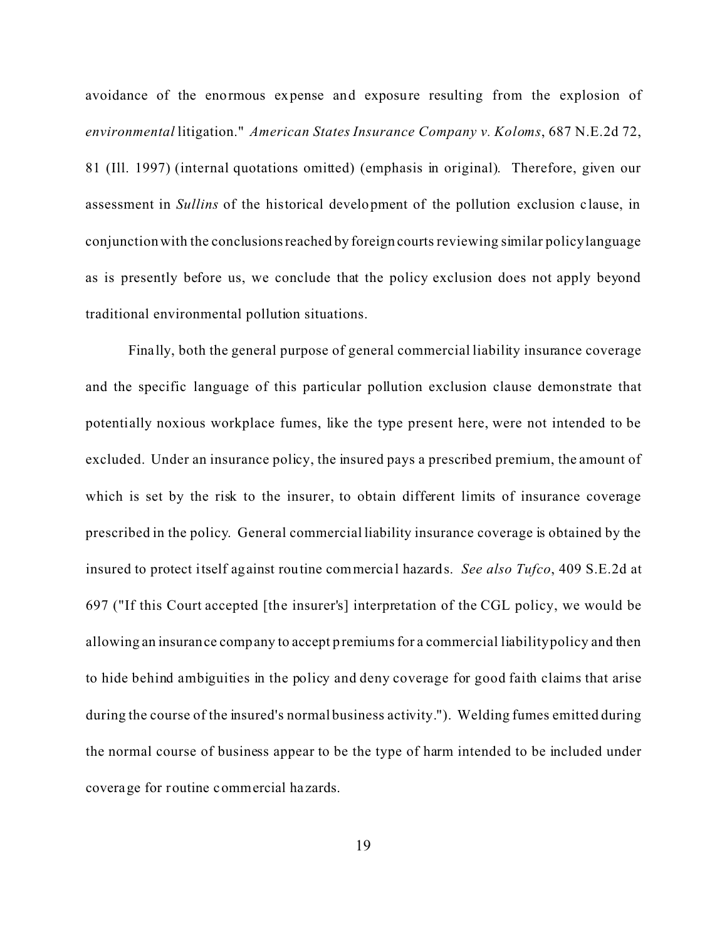avoidance of the enormous expense and exposure resulting from the explosion of *environmental* litigation." *American States Insurance Company v. Koloms*, 687 N.E.2d 72, 81 (Ill. 1997) (internal quotations omitted) (emphasis in original). Therefore, given our assessment in *Sullins* of the historical development of the pollution exclusion c lause, in conjunction with the conclusionsreached by foreign courts reviewing similar policy language as is presently before us, we conclude that the policy exclusion does not apply beyond traditional environmental pollution situations.

Fina lly, both the general purpose of general commercial liability insurance coverage and the specific language of this particular pollution exclusion clause demonstrate that potentially noxious workplace fumes, like the type present here, were not intended to be excluded. Under an insurance policy, the insured pays a prescribed premium, the amount of which is set by the risk to the insurer, to obtain different limits of insurance coverage prescribed in the policy. General commercial liability insurance coverage is obtained by the insured to protect itself against routine commercial hazards. *See also Tufco*, 409 S.E.2d at 697 ("If this Court accepted [the insurer's] interpretation of the CGL policy, we would be allowing an insurance company to accept premiumsfor a commercial liability policy and then to hide behind ambiguities in the policy and deny coverage for good faith claims that arise during the course of the insured's normal business activity."). Welding fumes emitted during the normal course of business appear to be the type of harm intended to be included under coverage for routine commercial ha zards.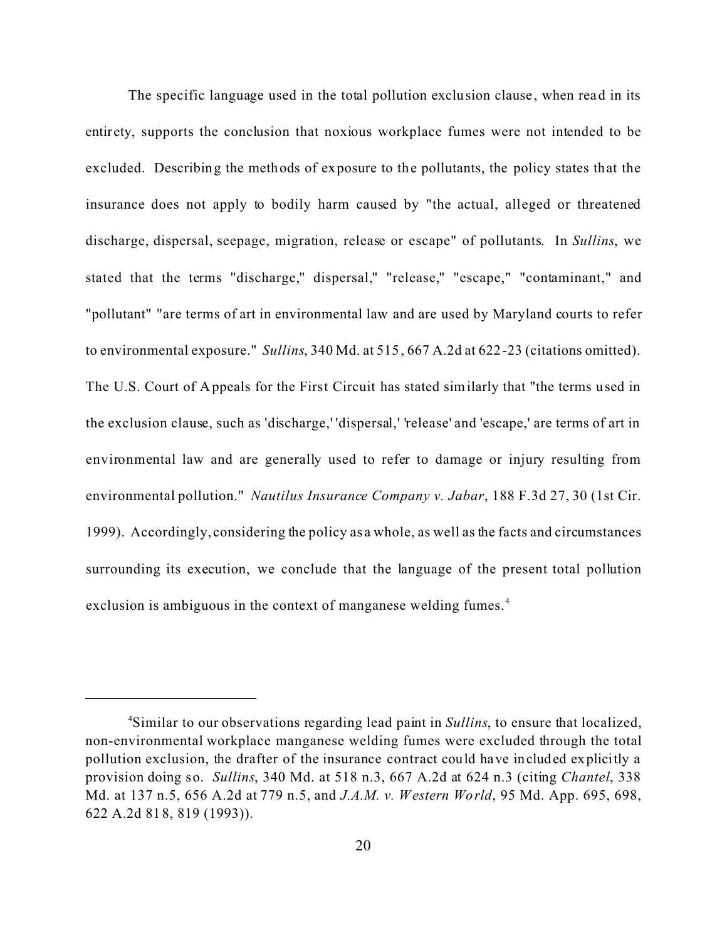The specific language used in the total pollution exclusion clause, when read in its entirety, supports the conclusion that noxious workplace fumes were not intended to be excluded. Describing the methods of exposure to the pollutants, the policy states that the insurance does not apply to bodily harm caused by "the actual, alleged or threatened discharge, dispersal, seepage, migration, release or escape" of pollutants. In *Sullins*, we stated that the terms "discharge," dispersal," "release," "escape," "contaminant," and "pollutant" "are terms of art in environmental law and are used by Maryland courts to refer to environmental exposure." *Sullins*, 340 Md. at 515, 667 A.2d at 622-23 (citations omitted). The U.S. Court of Appeals for the First Circuit has stated similarly that "the terms used in the exclusion clause, such as 'discharge,' 'dispersal,' 'release' and 'escape,' are terms of art in environmental law and are generally used to refer to damage or injury resulting from environmental pollution." *Nautilus Insurance Company v. Jabar*, 188 F.3d 27, 30 (1st Cir. 1999). Accordingly, considering the policy as a whole, as well as the facts and circumstances surrounding its execution, we conclude that the language of the present total pollution exclusion is ambiguous in the context of manganese welding fumes.<sup>4</sup>

<sup>4</sup>Similar to our observations regarding lead paint in *Sullins*, to ensure that localized, non-environmental workplace manganese welding fumes were excluded through the total pollution exclusion, the drafter of the insurance contract could have included explicitly a provision doing so. *Sullins*, 340 Md. at 518 n.3, 667 A.2d at 624 n.3 (citing *Chantel*, 338 Md. at 137 n.5, 656 A.2d at 779 n.5, and *J.A.M. v. Western World*, 95 Md. App. 695, 698, 622 A.2d 818, 819 (1993)).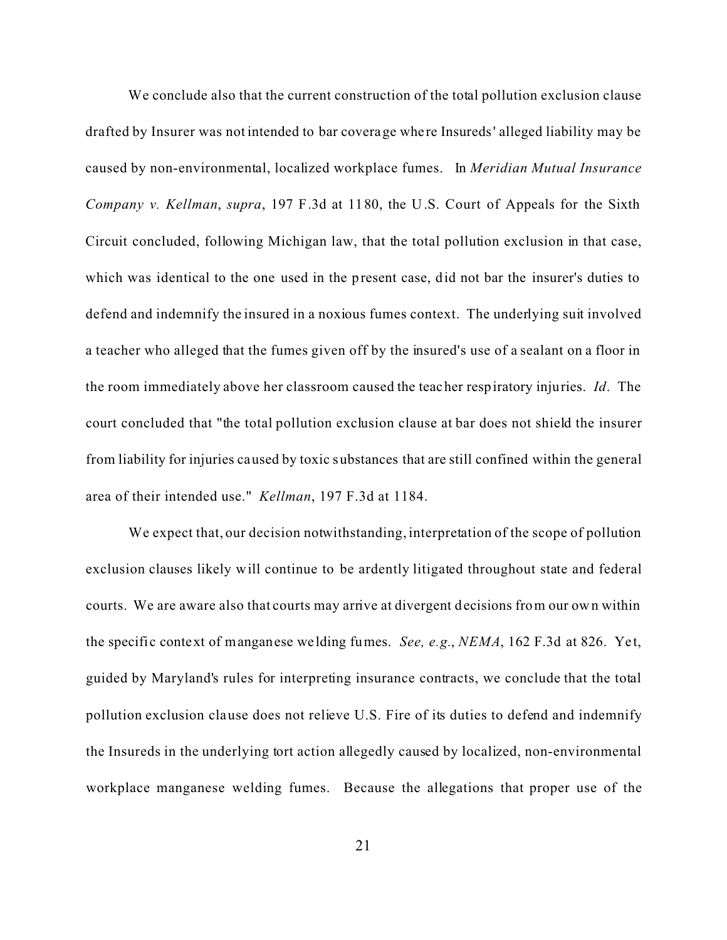We conclude also that the current construction of the total pollution exclusion clause drafted by Insurer was not intended to bar coverage where Insureds' alleged liability may be caused by non-environmental, localized workplace fumes. In *Meridian Mutual Insurance Company v. Kellman*, *supra*, 197 F.3d at 1180, the U.S. Court of Appeals for the Sixth Circuit concluded, following Michigan law, that the total pollution exclusion in that case, which was identical to the one used in the present case, did not bar the insurer's duties to defend and indemnify the insured in a noxious fumes context. The underlying suit involved a teacher who alleged that the fumes given off by the insured's use of a sealant on a floor in the room immediately above her classroom caused the teacher respiratory injuries. *Id*. The court concluded that "the total pollution exclusion clause at bar does not shield the insurer from liability for injuries caused by toxic substances that are still confined within the general area of their intended use." *Kellman*, 197 F.3d at 1184.

We expect that, our decision notwithstanding, interpretation of the scope of pollution exclusion clauses likely will continue to be ardently litigated throughout state and federal courts. We are aware also that courts may arrive at divergent decisions from our own within the specific context of manganese we lding fumes. *See, e.g.*, *NEMA*, 162 F.3d at 826. Ye t, guided by Maryland's rules for interpreting insurance contracts, we conclude that the total pollution exclusion clause does not relieve U.S. Fire of its duties to defend and indemnify the Insureds in the underlying tort action allegedly caused by localized, non-environmental workplace manganese welding fumes. Because the allegations that proper use of the